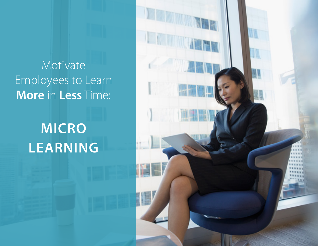Motivate Employees to Learn **More** in **Less** Time:

## **MICRO LEARNING**

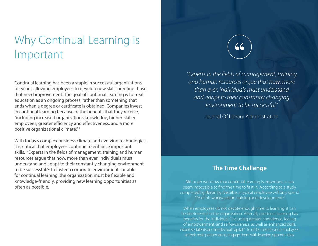## Why Continual Learning is Important

Continual learning has been a staple in successful organizations for years, allowing employees to develop new skills or refine those that need improvement. The goal of continual learning is to treat education as an ongoing process, rather than something that ends when a degree or certificate is obtained. Companies invest in continual learning because of the benefits that they receive, "including increased organizations knowledge, higher-skilled employees, greater efficiency and effectiveness, and a more positive organizational climate." 1

With today's complex business climate and evolving technologies, it is critical that employees continue to enhance important skills. "Experts in the fields of management, training and human resources argue that now, more than ever, individuals must understand and adapt to their constantly changing environment to be successful."2 To foster a corporate environment suitable for continual learning, the organization must be flexible and knowledge-friendly, providing new learning opportunities as often as possible.

"

*"Experts in the fields of management, training and human resources argue that now, more than ever, individuals must understand and adapt to their constantly changing environment to be successful."*

Journal Of Library Administration

### **The Time Challenge**

Although we know that continual learning is important, it can seem impossible to find the time to fit it in. According to a study completed by Bersin by Deloitte, a typical employee will only spend 1% of his workweek on training and development.<sup>3</sup>

When employees do not devote enough time to learning, it can be detrimental to the organization. After all, continual learning has benefits for the individual, "including greater confidence, feeling of empowerment, and self-awareness, as well as enhanced skills, expertise, talents and intellectual capital." <sup>4</sup> To order to keep your employees at their peak performance, engage them with learning opportunities.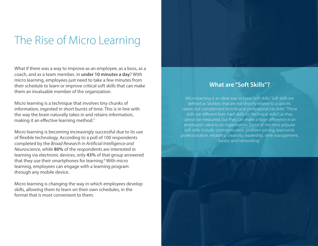## The Rise of Micro Learning

What if there was a way to improve as an employee, as a boss, as a coach, and as a team member, in **under 10 minutes a day**? With micro learning, employees just need to take a few minutes from their schedule to learn or improve critical soft skills that can make them an invaluable member of the organization.

Micro learning is a technique that involves tiny chunks of information, ingested in short bursts of time. This is in line with the way the brain naturally takes in and retains information, making it an effective learning method.<sup>5</sup>

Micro learning is becoming increasingly successful due to its use of flexible technology. According to a poll of 100 respondents completed by the *Broad Research in Artificial Intelligence and Neuroscience*, while **80%** of the respondents are interested in learning via electronic devices, only **43%** of that group answered that they use their smartphones for learning.<sup>6</sup> With micro learning, employees can engage with a learning program through any mobile device.

Micro learning is changing the way in which employees develop skills, allowing them to learn on their own schedules, in the format that is most convenient to them.

#### **What are "Soft Skills"?**

Micro learning is an ideal way to hone "soft skills." Soft skills are defined as "abilities that are not directly related to a specific career, but complement technical or professional job skills." These skills are different from hard skills (or "technical skills") as they cannot be measured, but they can make a huge difference in an employee's value to an organization. Some of the most popular soft skills include: communication, problem solving, teamwork, professionalism, reliability, creativity, leadership, time management, loyalty and networking.<sup>7</sup>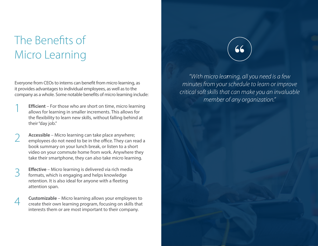## The Benefits of Micro Learning

Everyone from CEOs to interns can benefit from micro learning, as it provides advantages to individual employees, as well as to the company as a whole. Some notable benefits of micro learning include:

**Efficient** – For those who are short on time, micro learning allows for learning in smaller increments. This allows for the flexibility to learn new skills, without falling behind at their "day job." 1

**Accessible** – Micro learning can take place anywhere; employees do not need to be in the office. They can read a book summary on your lunch break, or listen to a short video on your commute home from work. Anywhere they take their smartphone, they can also take micro learning. 2

**Effective** – Micro learning is delivered via rich media formats, which is engaging and helps knowledge retention. It is also ideal for anyone with a fleeting attention span. 3

**Customizable** – Micro learning allows your employees to create their own learning program, focusing on skills that interests them or are most important to their company. 4



*"With micro lea*r*ning, all you need is a few minutes from your schedule to learn or improve critical soft skills that can make you an invaluable member of any organization."*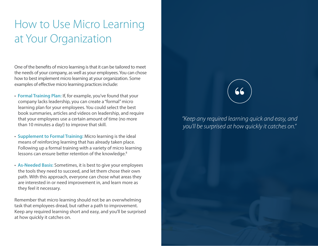## How to Use Micro Learning at Your Organization

One of the benefits of micro learning is that it can be tailored to meet the needs of your company, as well as your employees. You can chose how to best implement micro learning at your organization. Some examples of effective micro learning practices include:

- **Formal Training Plan:** If, for example, you've found that your company lacks leadership, you can create a "formal" micro learning plan for your employees. You could select the best book summaries, articles and videos on leadership, and require that your employees use a certain amount of time (no more than 10 minutes a day!) to improve that skill.
- **Supplement to Formal Training:** Micro learning is the ideal means of reinforcing learning that has already taken place. Following up a formal training with a variety of micro learning lessons can ensure better retention of the knowledge.<sup>8</sup>
- **As-Needed Basis:** Sometimes, it is best to give your employees the tools they need to succeed, and let them chose their own path. With this approach, everyone can chose what areas they are interested in or need improvement in, and learn more as they feel it necessary.

Remember that micro learning should not be an overwhelming task that employees dread, but rather a path to improvement. Keep any required learning short and easy, and you'll be surprised at how quickly it catches on.

# "

*"Keep any required learning quick and easy, and you'll be surprised at how quickly it catches on."*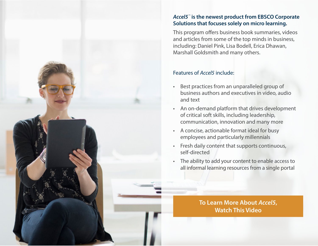

#### *Accel5™*  **is the newest product from EBSCO Corporate Solutions that focuses solely on micro learning.**

This program offers business book summaries, videos and articles from some of the top minds in business, including: Daniel Pink, Lisa Bodell, Erica Dhawan, Marshall Goldsmith and many others.

#### Features of *Accel5* include:

- Best practices from an unparalleled group of business authors and executives in video, audio and text
- An on-demand platform that drives development of critical soft skills, including leadership, communication, innovation and many more
- A concise, actionable format ideal for busy employees and particularly millennials
- Fresh daily content that supports continuous, self-directed
- The ability to add your content to enable access to all informal learning resources from a single portal

**[To Learn More About](https://vimeo.com/223333117)** *Accel5***, Watch This Video**